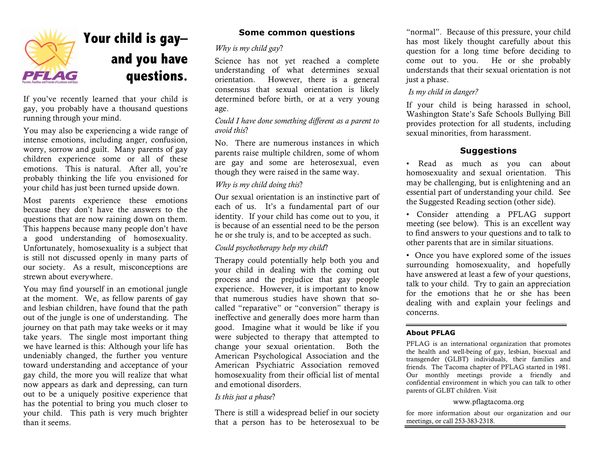

# **Your child is gay– and you have questions.**

If you've recently learned that your child is gay, you probably have a thousand questions running through your mind.

You may also be experiencing a wide range of intense emotions, including anger, confusion, worry, sorrow and guilt. Many parents of gay children experience some or all of these emotions. This is natural. After all, you're probably thinking the life you envisioned for your child has just been turned upside down.

Most parents experience these emotions because they don't have the answers to the questions that are now raining down on them. This happens because many people don't have a good understanding of homosexuality. Unfortunately, homosexuality is a subject that is still not discussed openly in many parts of our society. As a result, misconceptions are strewn about everywhere.

You may find yourself in an emotional jungle at the moment. We, as fellow parents of gay and lesbian children, have found that the path out of the jungle is one of understanding. The journey on that path may take weeks or it may take years. The single most important thing we have learned is this: Although your life has undeniably changed, the further you venture toward understanding and acceptance of your gay child, the more you will realize that what now appears as dark and depressing, can turn out to be a uniquely positive experience that has the potential to bring you much closer to your child. This path is very much brighter than it seems.

# **Some common questions**

# *Why is my child gay*?

Science has not yet reached a complete understanding of what determines sexual orientation. However, there is a general consensus that sexual orientation is likely determined before birth, or at a very young age.

# *Could I have done something different as a parent to avoid this*?

No. There are numerous instances in which parents raise multiple children, some of whom are gay and some are heterosexual, even though they were raised in the same way.

# *Why is my child doing this*?

Our sexual orientation is an instinctive part of each of us. It's a fundamental part of our identity. If your child has come out to you, it is because of an essential need to be the person he or she truly is, and to be accepted as such.

# *Could psychotherapy help my child*?

Therapy could potentially help both you and your child in dealing with the coming out process and the prejudice that gay people experience. However, it is important to know that numerous studies have shown that socalled "reparative" or "conversion" therapy is ineffective and generally does more harm than good. Imagine what it would be like if you were subjected to therapy that attempted to change your sexual orientation. Both the American Psychological Association and the American Psychiatric Association removed homosexuality from their official list of mental and emotional disorders.

# *Is this just a phase*?

There is still a widespread belief in our society that a person has to be heterosexual to be

"normal". Because of this pressure, your child has most likely thought carefully about this question for a long time before deciding to come out to you. He or she probably understands that their sexual orientation is not just a phase.

# *Is my child in danger?*

If your child is being harassed in school, Washington State's Safe Schools Bullying Bill provides protection for all students, including sexual minorities, from harassment.

# **Suggestions**

- Read as much as you can about homosexuality and sexual orientation. This may be challenging, but is enlightening and an essential part of understanding your child. See the Suggested Reading section (other side).
- Consider attending a PFLAG support meeting (see below). This is an excellent way to find answers to your questions and to talk to other parents that are in similar situations.
- Once you have explored some of the issues surrounding homosexuality, and hopefully have answered at least a few of your questions, talk to your child. Try to gain an appreciation for the emotions that he or she has been dealing with and explain your feelings and concerns.

# **About PFLAG**

PFLAG is an international organization that promotes the health and well-being of gay, lesbian, bisexual and transgender (GLBT) individuals, their families and friends. The Tacoma chapter of PFLAG started in 1981. Our monthly meetings provide a friendly and confidential environment in which you can talk to other parents of GLBT children. Visit

#### www.pflagtacoma.org

for more information about our organization and our meetings, or call 253-383-2318.